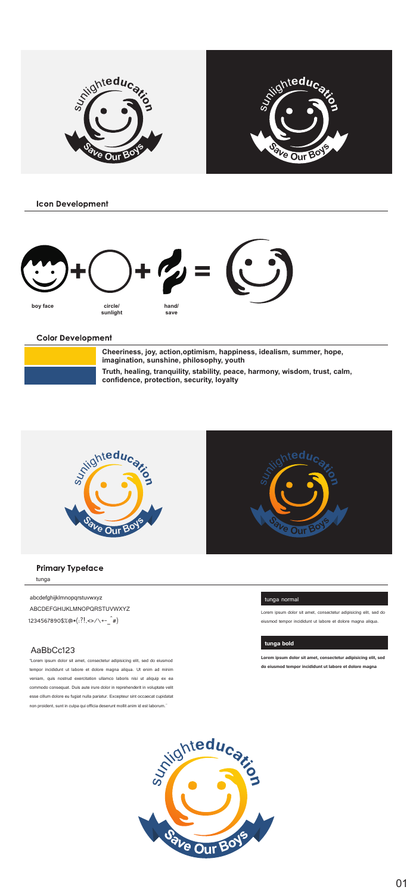

**Icon Development** 



Color Development

| Cheeriness, loy, action, optimism, happiness, idealism, summer, hope,<br>imagination, sunshins, philosophy, youth         |
|---------------------------------------------------------------------------------------------------------------------------|
| Truth, healing, tranquility, stability, peace, harmony, wiedom, trust, calm.<br>confidence, protection, security, lovally |



## Primary Typeface tunga

### abcdefghijklmnopqrstuvwxyz

ABCDEFGHIJKLMNOPQRSTUVWXYZ 1234567890\$%@\*( $R,\alpha,\gamma\in\lbrack\mathfrak{a}\rbrack$ 

## AaBbCc123<br>San ing ang ang mang-anan

"Lorem ipsum dolor sit amet, consectetur adipisicing elit, sed do eiusmod